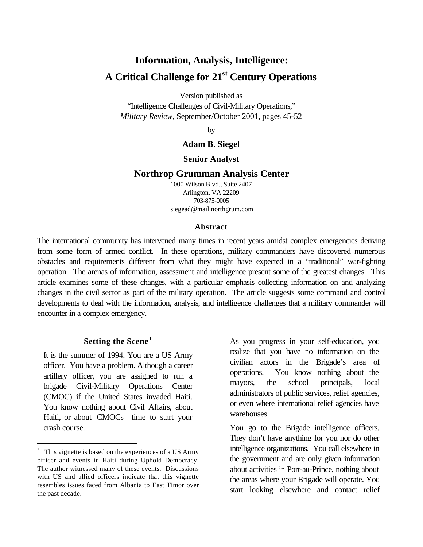# **Information, Analysis, Intelligence: A Critical Challenge for 21st Century Operations**

Version published as

"Intelligence Challenges of Civil-Military Operations," *Military Review*, September/October 2001, pages 45-52

by

### **Adam B. Siegel**

#### **Senior Analyst**

#### **Northrop Grumman Analysis Center**

1000 Wilson Blvd., Suite 2407 Arlington, VA 22209 703-875-0005 siegead@mail.northgrum.com

#### **Abstract**

The international community has intervened many times in recent years amidst complex emergencies deriving from some form of armed conflict. In these operations, military commanders have discovered numerous obstacles and requirements different from what they might have expected in a "traditional" war-fighting operation. The arenas of information, assessment and intelligence present some of the greatest changes. This article examines some of these changes, with a particular emphasis collecting information on and analyzing changes in the civil sector as part of the military operation. The article suggests some command and control developments to deal with the information, analysis, and intelligence challenges that a military commander will encounter in a complex emergency.

## **Setting the Scene <sup>1</sup>**

It is the summer of 1994. You are a US Army officer. You have a problem. Although a career artillery officer, you are assigned to run a brigade Civil-Military Operations Center (CMOC) if the United States invaded Haiti. You know nothing about Civil Affairs, about Haiti, or about CMOCs—time to start your crash course.

 $\overline{a}$ 

As you progress in your self-education, you realize that you have no information on the civilian actors in the Brigade's area of operations. You know nothing about the mayors, the school principals, local administrators of public services, relief agencies, or even where international relief agencies have warehouses.

You go to the Brigade intelligence officers. They don't have anything for you nor do other intelligence organizations. You call elsewhere in the government and are only given information about activities in Port-au-Prince, nothing about the areas where your Brigade will operate. You start looking elsewhere and contact relief

<sup>1</sup> This vignette is based on the experiences of a US Army officer and events in Haiti during Uphold Democracy. The author witnessed many of these events. Discussions with US and allied officers indicate that this vignette resembles issues faced from Albania to East Timor over the past decade.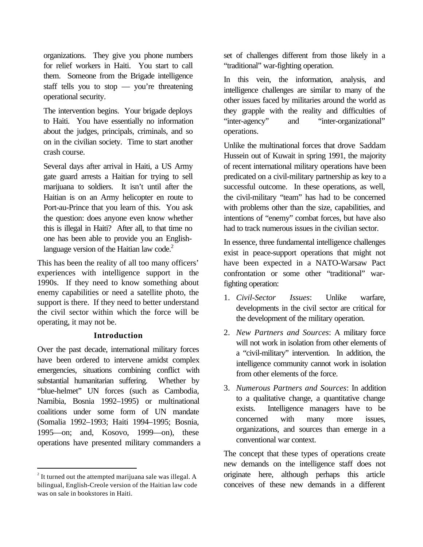organizations. They give you phone numbers for relief workers in Haiti. You start to call them. Someone from the Brigade intelligence staff tells you to stop — you're threatening operational security.

The intervention begins. Your brigade deploys to Haiti. You have essentially no information about the judges, principals, criminals, and so on in the civilian society. Time to start another crash course.

Several days after arrival in Haiti, a US Army gate guard arrests a Haitian for trying to sell marijuana to soldiers. It isn't until after the Haitian is on an Army helicopter en route to Port-au-Prince that you learn of this. You ask the question: does anyone even know whether this is illegal in Haiti? After all, to that time no one has been able to provide you an Englishlanguage version of the Haitian law code. $2$ 

This has been the reality of all too many officers' experiences with intelligence support in the 1990s. If they need to know something about enemy capabilities or need a satellite photo, the support is there. If they need to better understand the civil sector within which the force will be operating, it may not be.

### **Introduction**

Over the past decade, international military forces have been ordered to intervene amidst complex emergencies, situations combining conflict with substantial humanitarian suffering. Whether by "blue-helmet" UN forces (such as Cambodia, Namibia, Bosnia 1992–1995) or multinational coalitions under some form of UN mandate (Somalia 1992–1993; Haiti 1994–1995; Bosnia, 1995—on; and, Kosovo, 1999—on), these operations have presented military commanders a

 $\overline{a}$ 

set of challenges different from those likely in a "traditional" war-fighting operation.

In this vein, the information, analysis, and intelligence challenges are similar to many of the other issues faced by militaries around the world as they grapple with the reality and difficulties of "inter-agency" and "inter-organizational" operations.

Unlike the multinational forces that drove Saddam Hussein out of Kuwait in spring 1991, the majority of recent international military operations have been predicated on a civil-military partnership as key to a successful outcome. In these operations, as well, the civil-military "team" has had to be concerned with problems other than the size, capabilities, and intentions of "enemy" combat forces, but have also had to track numerous issues in the civilian sector.

In essence, three fundamental intelligence challenges exist in peace-support operations that might not have been expected in a NATO-Warsaw Pact confrontation or some other "traditional" warfighting operation:

- 1. *Civil-Sector Issues*: Unlike warfare, developments in the civil sector are critical for the development of the military operation.
- 2. *New Partners and Sources*: A military force will not work in isolation from other elements of a "civil-military" intervention. In addition, the intelligence community cannot work in isolation from other elements of the force.
- 3. *Numerous Partners and Sources*: In addition to a qualitative change, a quantitative change exists. Intelligence managers have to be concerned with many more issues, organizations, and sources than emerge in a conventional war context.

The concept that these types of operations create new demands on the intelligence staff does not originate here, although perhaps this article conceives of these new demands in a different

 $2$  It turned out the attempted marijuana sale was illegal. A bilingual, English-Creole version of the Haitian law code was on sale in bookstores in Haiti.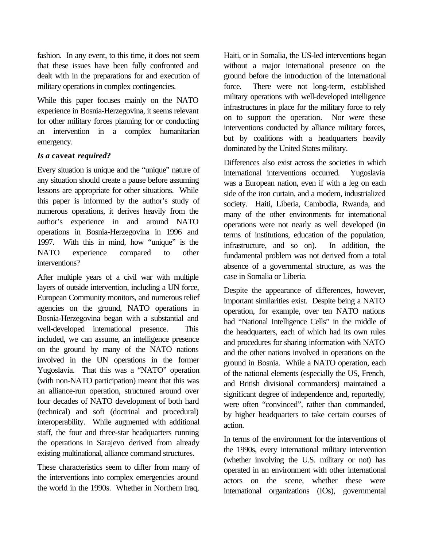fashion. In any event, to this time, it does not seem that these issues have been fully confronted and dealt with in the preparations for and execution of military operations in complex contingencies.

While this paper focuses mainly on the NATO experience in Bosnia-Herzegovina, it seems relevant for other military forces planning for or conducting an intervention in a complex humanitarian emergency.

### *Is a* **caveat** *required?*

Every situation is unique and the "unique" nature of any situation should create a pause before assuming lessons are appropriate for other situations. While this paper is informed by the author's study of numerous operations, it derives heavily from the author's experience in and around NATO operations in Bosnia-Herzegovina in 1996 and 1997. With this in mind, how "unique" is the NATO experience compared to other interventions?

After multiple years of a civil war with multiple layers of outside intervention, including a UN force, European Community monitors, and numerous relief agencies on the ground, NATO operations in Bosnia-Herzegovina began with a substantial and well-developed international presence. This included, we can assume, an intelligence presence on the ground by many of the NATO nations involved in the UN operations in the former Yugoslavia. That this was a "NATO" operation (with non-NATO participation) meant that this was an alliance-run operation, structured around over four decades of NATO development of both hard (technical) and soft (doctrinal and procedural) interoperability. While augmented with additional staff, the four and three-star headquarters running the operations in Sarajevo derived from already existing multinational, alliance command structures.

These characteristics seem to differ from many of the interventions into complex emergencies around the world in the 1990s. Whether in Northern Iraq,

Haiti, or in Somalia, the US-led interventions began without a major international presence on the ground before the introduction of the international force. There were not long-term, established military operations with well-developed intelligence infrastructures in place for the military force to rely on to support the operation. Nor were these interventions conducted by alliance military forces, but by coalitions with a headquarters heavily dominated by the United States military.

Differences also exist across the societies in which international interventions occurred. Yugoslavia was a European nation, even if with a leg on each side of the iron curtain, and a modern, industrialized society. Haiti, Liberia, Cambodia, Rwanda, and many of the other environments for international operations were not nearly as well developed (in terms of institutions, education of the population, infrastructure, and so on). In addition, the fundamental problem was not derived from a total absence of a governmental structure, as was the case in Somalia or Liberia.

Despite the appearance of differences, however, important similarities exist. Despite being a NATO operation, for example, over ten NATO nations had "National Intelligence Cells" in the middle of the headquarters, each of which had its own rules and procedures for sharing information with NATO and the other nations involved in operations on the ground in Bosnia. While a NATO operation, each of the national elements (especially the US, French, and British divisional commanders) maintained a significant degree of independence and, reportedly, were often "convinced", rather than commanded, by higher headquarters to take certain courses of action.

In terms of the environment for the interventions of the 1990s, every international military intervention (whether involving the U.S. military or not) has operated in an environment with other international actors on the scene, whether these were international organizations (IOs), governmental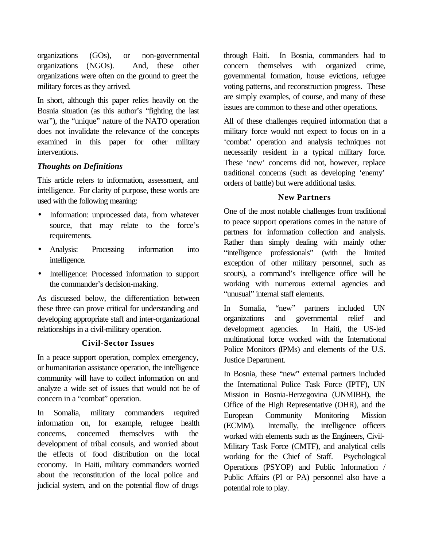organizations (GOs), or non-governmental organizations (NGOs). And, these other organizations were often on the ground to greet the military forces as they arrived.

In short, although this paper relies heavily on the Bosnia situation (as this author's "fighting the last war"), the "unique" nature of the NATO operation does not invalidate the relevance of the concepts examined in this paper for other military interventions.

## *Thoughts on Definitions*

This article refers to information, assessment, and intelligence. For clarity of purpose, these words are used with the following meaning:

- Information: unprocessed data, from whatever source, that may relate to the force's requirements.
- Analysis: Processing information into intelligence.
- Intelligence: Processed information to support the commander's decision-making.

As discussed below, the differentiation between these three can prove critical for understanding and developing appropriate staff and inter-organizational relationships in a civil-military operation.

### **Civil-Sector Issues**

In a peace support operation, complex emergency, or humanitarian assistance operation, the intelligence community will have to collect information on and analyze a wide set of issues that would not be of concern in a "combat" operation.

In Somalia, military commanders required information on, for example, refugee health concerns, concerned themselves with the development of tribal consuls, and worried about the effects of food distribution on the local economy. In Haiti, military commanders worried about the reconstitution of the local police and judicial system, and on the potential flow of drugs

through Haiti. In Bosnia, commanders had to concern themselves with organized crime, governmental formation, house evictions, refugee voting patterns, and reconstruction progress. These are simply examples, of course, and many of these issues are common to these and other operations.

All of these challenges required information that a military force would not expect to focus on in a 'combat' operation and analysis techniques not necessarily resident in a typical military force. These 'new' concerns did not, however, replace traditional concerns (such as developing 'enemy' orders of battle) but were additional tasks.

### **New Partners**

One of the most notable challenges from traditional to peace support operations comes in the nature of partners for information collection and analysis. Rather than simply dealing with mainly other "intelligence professionals" (with the limited exception of other military personnel, such as scouts), a command's intelligence office will be working with numerous external agencies and "unusual" internal staff elements.

In Somalia, "new" partners included UN organizations and governmental relief and development agencies. In Haiti, the US-led multinational force worked with the International Police Monitors (IPMs) and elements of the U.S. Justice Department.

In Bosnia, these "new" external partners included the International Police Task Force (IPTF), UN Mission in Bosnia-Herzegovina (UNMIBH), the Office of the High Representative (OHR), and the European Community Monitoring Mission (ECMM). Internally, the intelligence officers worked with elements such as the Engineers, Civil-Military Task Force (CMTF), and analytical cells working for the Chief of Staff. Psychological Operations (PSYOP) and Public Information / Public Affairs (PI or PA) personnel also have a potential role to play.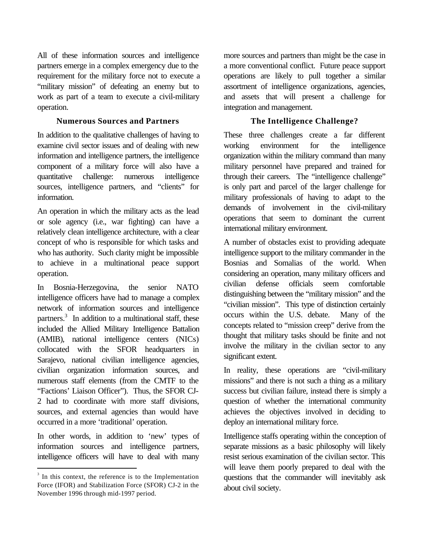All of these information sources and intelligence partners emerge in a complex emergency due to the requirement for the military force not to execute a "military mission" of defeating an enemy but to work as part of a team to execute a civil-military operation.

### **Numerous Sources and Partners**

In addition to the qualitative challenges of having to examine civil sector issues and of dealing with new information and intelligence partners, the intelligence component of a military force will also have a quantitative challenge: numerous intelligence sources, intelligence partners, and "clients" for information.

An operation in which the military acts as the lead or sole agency (i.e., war fighting) can have a relatively clean intelligence architecture, with a clear concept of who is responsible for which tasks and who has authority. Such clarity might be impossible to achieve in a multinational peace support operation.

In Bosnia-Herzegovina, the senior NATO intelligence officers have had to manage a complex network of information sources and intelligence partners.<sup>3</sup> In addition to a multinational staff, these included the Allied Military Intelligence Battalion (AMIB), national intelligence centers (NICs) collocated with the SFOR headquarters in Sarajevo, national civilian intelligence agencies, civilian organization information sources, and numerous staff elements (from the CMTF to the "Factions' Liaison Officer"). Thus, the SFOR CJ-2 had to coordinate with more staff divisions, sources, and external agencies than would have occurred in a more 'traditional' operation.

In other words, in addition to 'new' types of information sources and intelligence partners, intelligence officers will have to deal with many more sources and partners than might be the case in a more conventional conflict. Future peace support operations are likely to pull together a similar assortment of intelligence organizations, agencies, and assets that will present a challenge for integration and management.

# **The Intelligence Challenge?**

These three challenges create a far different working environment for the intelligence organization within the military command than many military personnel have prepared and trained for through their careers. The "intelligence challenge" is only part and parcel of the larger challenge for military professionals of having to adapt to the demands of involvement in the civil-military operations that seem to dominant the current international military environment.

A number of obstacles exist to providing adequate intelligence support to the military commander in the Bosnias and Somalias of the world. When considering an operation, many military officers and civilian defense officials seem comfortable distinguishing between the "military mission" and the "civilian mission". This type of distinction certainly occurs within the U.S. debate. Many of the concepts related to "mission creep" derive from the thought that military tasks should be finite and not involve the military in the civilian sector to any significant extent.

In reality, these operations are "civil-military missions" and there is not such a thing as a military success but civilian failure, instead there is simply a question of whether the international community achieves the objectives involved in deciding to deploy an international military force.

Intelligence staffs operating within the conception of separate missions as a basic philosophy will likely resist serious examination of the civilian sector. This will leave them poorly prepared to deal with the questions that the commander will inevitably ask about civil society.

 $\overline{a}$ <sup>3</sup> In this context, the reference is to the Implementation Force (IFOR) and Stabilization Force (SFOR) CJ-2 in the November 1996 through mid-1997 period.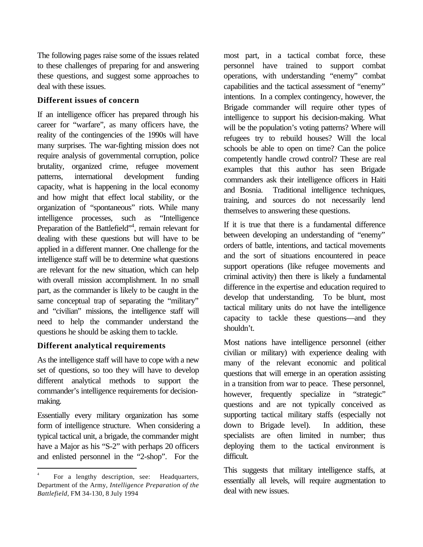The following pages raise some of the issues related to these challenges of preparing for and answering these questions, and suggest some approaches to deal with these issues.

# **Different issues of concern**

If an intelligence officer has prepared through his career for "warfare", as many officers have, the reality of the contingencies of the 1990s will have many surprises. The war-fighting mission does not require analysis of governmental corruption, police brutality, organized crime, refugee movement patterns, international development funding capacity, what is happening in the local economy and how might that effect local stability, or the organization of "spontaneous" riots. While many intelligence processes, such as "Intelligence Preparation of the Battlefield"<sup>4</sup>, remain relevant for dealing with these questions but will have to be applied in a different manner. One challenge for the intelligence staff will be to determine what questions are relevant for the new situation, which can help with overall mission accomplishment. In no small part, as the commander is likely to be caught in the same conceptual trap of separating the "military" and "civilian" missions, the intelligence staff will need to help the commander understand the questions he should be asking them to tackle.

# **Different analytical requirements**

As the intelligence staff will have to cope with a new set of questions, so too they will have to develop different analytical methods to support the commander's intelligence requirements for decisionmaking.

Essentially every military organization has some form of intelligence structure. When considering a typical tactical unit, a brigade, the commander might have a Major as his "S-2" with perhaps 20 officers and enlisted personnel in the "2-shop". For the

most part, in a tactical combat force, these personnel have trained to support combat operations, with understanding "enemy" combat capabilities and the tactical assessment of "enemy" intentions. In a complex contingency, however, the Brigade commander will require other types of intelligence to support his decision-making. What will be the population's voting patterns? Where will refugees try to rebuild houses? Will the local schools be able to open on time? Can the police competently handle crowd control? These are real examples that this author has seen Brigade commanders ask their intelligence officers in Haiti and Bosnia. Traditional intelligence techniques, training, and sources do not necessarily lend themselves to answering these questions.

If it is true that there is a fundamental difference between developing an understanding of "enemy" orders of battle, intentions, and tactical movements and the sort of situations encountered in peace support operations (like refugee movements and criminal activity) then there is likely a fundamental difference in the expertise and education required to develop that understanding. To be blunt, most tactical military units do not have the intelligence capacity to tackle these questions—and they shouldn't.

Most nations have intelligence personnel (either civilian or military) with experience dealing with many of the relevant economic and political questions that will emerge in an operation assisting in a transition from war to peace. These personnel, however, frequently specialize in "strategic" questions and are not typically conceived as supporting tactical military staffs (especially not down to Brigade level). In addition, these specialists are often limited in number; thus deploying them to the tactical environment is difficult.

This suggests that military intelligence staffs, at essentially all levels, will require augmentation to deal with new issues.

 $\overline{a}$ 4 For a lengthy description, see: Headquarters, Department of the Army, *Intelligence Preparation of the Battlefield*, FM 34-130, 8 July 1994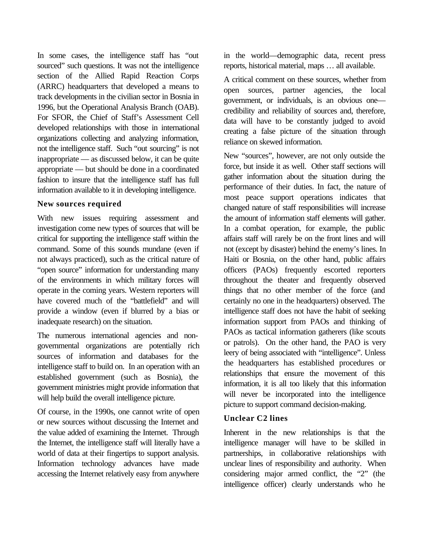In some cases, the intelligence staff has "out sourced" such questions. It was not the intelligence section of the Allied Rapid Reaction Corps (ARRC) headquarters that developed a means to track developments in the civilian sector in Bosnia in 1996, but the Operational Analysis Branch (OAB). For SFOR, the Chief of Staff's Assessment Cell developed relationships with those in international organizations collecting and analyzing information, not the intelligence staff. Such "out sourcing" is not inappropriate — as discussed below, it can be quite appropriate — but should be done in a coordinated fashion to insure that the intelligence staff has full information available to it in developing intelligence.

## **New sources required**

With new issues requiring assessment and investigation come new types of sources that will be critical for supporting the intelligence staff within the command. Some of this sounds mundane (even if not always practiced), such as the critical nature of "open source" information for understanding many of the environments in which military forces will operate in the coming years. Western reporters will have covered much of the "battlefield" and will provide a window (even if blurred by a bias or inadequate research) on the situation.

The numerous international agencies and nongovernmental organizations are potentially rich sources of information and databases for the intelligence staff to build on. In an operation with an established government (such as Bosnia), the government ministries might provide information that will help build the overall intelligence picture.

Of course, in the 1990s, one cannot write of open or new sources without discussing the Internet and the value added of examining the Internet. Through the Internet, the intelligence staff will literally have a world of data at their fingertips to support analysis. Information technology advances have made accessing the Internet relatively easy from anywhere

in the world—demographic data, recent press reports, historical material, maps … all available.

A critical comment on these sources, whether from open sources, partner agencies, the local government, or individuals, is an obvious one credibility and reliability of sources and, therefore, data will have to be constantly judged to avoid creating a false picture of the situation through reliance on skewed information.

New "sources", however, are not only outside the force, but inside it as well. Other staff sections will gather information about the situation during the performance of their duties. In fact, the nature of most peace support operations indicates that changed nature of staff responsibilities will increase the amount of information staff elements will gather. In a combat operation, for example, the public affairs staff will rarely be on the front lines and will not (except by disaster) behind the enemy's lines. In Haiti or Bosnia, on the other hand, public affairs officers (PAOs) frequently escorted reporters throughout the theater and frequently observed things that no other member of the force (and certainly no one in the headquarters) observed. The intelligence staff does not have the habit of seeking information support from PAOs and thinking of PAOs as tactical information gatherers (like scouts or patrols). On the other hand, the PAO is very leery of being associated with "intelligence". Unless the headquarters has established procedures or relationships that ensure the movement of this information, it is all too likely that this information will never be incorporated into the intelligence picture to support command decision-making.

# **Unclear C2 lines**

Inherent in the new relationships is that the intelligence manager will have to be skilled in partnerships, in collaborative relationships with unclear lines of responsibility and authority. When considering major armed conflict, the "2" (the intelligence officer) clearly understands who he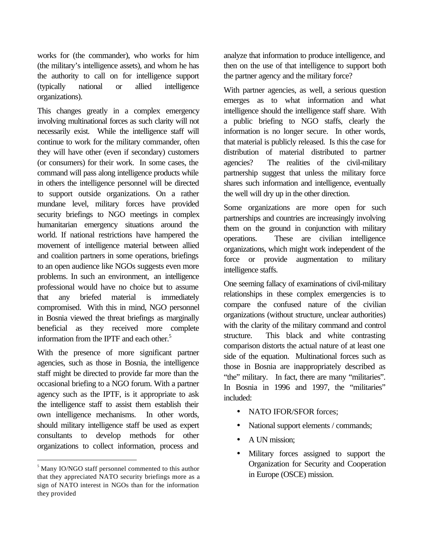works for (the commander), who works for him (the military's intelligence assets), and whom he has the authority to call on for intelligence support (typically national or allied intelligence organizations).

This changes greatly in a complex emergency involving multinational forces as such clarity will not necessarily exist. While the intelligence staff will continue to work for the military commander, often they will have other (even if secondary) customers (or consumers) for their work. In some cases, the command will pass along intelligence products while in others the intelligence personnel will be directed to support outside organizations. On a rather mundane level, military forces have provided security briefings to NGO meetings in complex humanitarian emergency situations around the world. If national restrictions have hampered the movement of intelligence material between allied and coalition partners in some operations, briefings to an open audience like NGOs suggests even more problems. In such an environment, an intelligence professional would have no choice but to assume that any briefed material is immediately compromised. With this in mind, NGO personnel in Bosnia viewed the threat briefings as marginally beneficial as they received more complete information from the IPTF and each other. $5$ 

With the presence of more significant partner agencies, such as those in Bosnia, the intelligence staff might be directed to provide far more than the occasional briefing to a NGO forum. With a partner agency such as the IPTF, is it appropriate to ask the intelligence staff to assist them establish their own intelligence mechanisms. In other words, should military intelligence staff be used as expert consultants to develop methods for other organizations to collect information, process and

 $\overline{a}$ 

analyze that information to produce intelligence, and then on the use of that intelligence to support both the partner agency and the military force?

With partner agencies, as well, a serious question emerges as to what information and what intelligence should the intelligence staff share. With a public briefing to NGO staffs, clearly the information is no longer secure. In other words, that material is publicly released. Is this the case for distribution of material distributed to partner agencies? The realities of the civil-military partnership suggest that unless the military force shares such information and intelligence, eventually the well will dry up in the other direction.

Some organizations are more open for such partnerships and countries are increasingly involving them on the ground in conjunction with military operations. These are civilian intelligence organizations, which might work independent of the force or provide augmentation to military intelligence staffs.

One seeming fallacy of examinations of civil-military relationships in these complex emergencies is to compare the confused nature of the civilian organizations (without structure, unclear authorities) with the clarity of the military command and control structure. This black and white contrasting comparison distorts the actual nature of at least one side of the equation. Multinational forces such as those in Bosnia are inappropriately described as "the" military. In fact, there are many "militaries". In Bosnia in 1996 and 1997, the "militaries" included:

- NATO IFOR/SFOR forces:
- National support elements / commands;
- A UN mission;
- Military forces assigned to support the Organization for Security and Cooperation in Europe (OSCE) mission.

<sup>5</sup> Many IO/NGO staff personnel commented to this author that they appreciated NATO security briefings more as a sign of NATO interest in NGOs than for the information they provided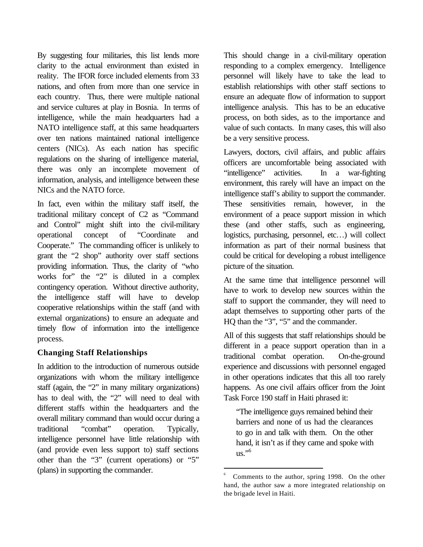By suggesting four militaries, this list lends more clarity to the actual environment than existed in reality. The IFOR force included elements from 33 nations, and often from more than one service in each country. Thus, there were multiple national and service cultures at play in Bosnia. In terms of intelligence, while the main headquarters had a NATO intelligence staff, at this same headquarters over ten nations maintained national intelligence centers (NICs). As each nation has specific regulations on the sharing of intelligence material, there was only an incomplete movement of information, analysis, and intelligence between these NICs and the NATO force.

In fact, even within the military staff itself, the traditional military concept of C2 as "Command and Control" might shift into the civil-military operational concept of "Coordinate and Cooperate." The commanding officer is unlikely to grant the "2 shop" authority over staff sections providing information. Thus, the clarity of "who works for" the "2" is diluted in a complex contingency operation. Without directive authority, the intelligence staff will have to develop cooperative relationships within the staff (and with external organizations) to ensure an adequate and timely flow of information into the intelligence process.

# **Changing Staff Relationships**

In addition to the introduction of numerous outside organizations with whom the military intelligence staff (again, the "2" in many military organizations) has to deal with, the "2" will need to deal with different staffs within the headquarters and the overall military command than would occur during a traditional "combat" operation. Typically, intelligence personnel have little relationship with (and provide even less support to) staff sections other than the "3" (current operations) or "5" (plans) in supporting the commander.

This should change in a civil-military operation responding to a complex emergency. Intelligence personnel will likely have to take the lead to establish relationships with other staff sections to ensure an adequate flow of information to support intelligence analysis. This has to be an educative process, on both sides, as to the importance and value of such contacts. In many cases, this will also be a very sensitive process.

Lawyers, doctors, civil affairs, and public affairs officers are uncomfortable being associated with "intelligence" activities. In a war-fighting environment, this rarely will have an impact on the intelligence staff's ability to support the commander. These sensitivities remain, however, in the environment of a peace support mission in which these (and other staffs, such as engineering, logistics, purchasing, personnel, etc…) will collect information as part of their normal business that could be critical for developing a robust intelligence picture of the situation.

At the same time that intelligence personnel will have to work to develop new sources within the staff to support the commander, they will need to adapt themselves to supporting other parts of the HQ than the "3", "5" and the commander.

All of this suggests that staff relationships should be different in a peace support operation than in a traditional combat operation. On-the-ground experience and discussions with personnel engaged in other operations indicates that this all too rarely happens. As one civil affairs officer from the Joint Task Force 190 staff in Haiti phrased it:

"The intelligence guys remained behind their barriers and none of us had the clearances to go in and talk with them. On the other hand, it isn't as if they came and spoke with  $us.$ <sup>"6</sup>

 $\overline{a}$ 6 Comments to the author, spring 1998. On the other hand, the author saw a more integrated relationship on the brigade level in Haiti.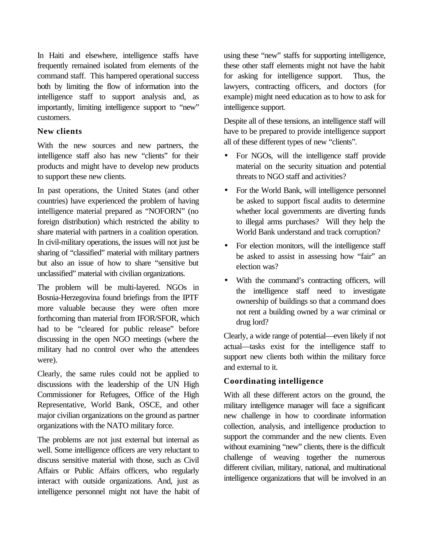In Haiti and elsewhere, intelligence staffs have frequently remained isolated from elements of the command staff. This hampered operational success both by limiting the flow of information into the intelligence staff to support analysis and, as importantly, limiting intelligence support to "new" customers.

## **New clients**

With the new sources and new partners, the intelligence staff also has new "clients" for their products and might have to develop new products to support these new clients.

In past operations, the United States (and other countries) have experienced the problem of having intelligence material prepared as "NOFORN" (no foreign distribution) which restricted the ability to share material with partners in a coalition operation. In civil-military operations, the issues will not just be sharing of "classified" material with military partners but also an issue of how to share "sensitive but unclassified" material with civilian organizations.

The problem will be multi-layered. NGOs in Bosnia-Herzegovina found briefings from the IPTF more valuable because they were often more forthcoming than material from IFOR/SFOR, which had to be "cleared for public release" before discussing in the open NGO meetings (where the military had no control over who the attendees were).

Clearly, the same rules could not be applied to discussions with the leadership of the UN High Commissioner for Refugees, Office of the High Representative, World Bank, OSCE, and other major civilian organizations on the ground as partner organizations with the NATO military force.

The problems are not just external but internal as well. Some intelligence officers are very reluctant to discuss sensitive material with those, such as Civil Affairs or Public Affairs officers, who regularly interact with outside organizations. And, just as intelligence personnel might not have the habit of using these "new" staffs for supporting intelligence, these other staff elements might not have the habit for asking for intelligence support. Thus, the lawyers, contracting officers, and doctors (for example) might need education as to how to ask for intelligence support.

Despite all of these tensions, an intelligence staff will have to be prepared to provide intelligence support all of these different types of new "clients".

- For NGOs, will the intelligence staff provide material on the security situation and potential threats to NGO staff and activities?
- For the World Bank, will intelligence personnel be asked to support fiscal audits to determine whether local governments are diverting funds to illegal arms purchases? Will they help the World Bank understand and track corruption?
- For election monitors, will the intelligence staff be asked to assist in assessing how "fair" an election was?
- With the command's contracting officers, will the intelligence staff need to investigate ownership of buildings so that a command does not rent a building owned by a war criminal or drug lord?

Clearly, a wide range of potential—even likely if not actual—tasks exist for the intelligence staff to support new clients both within the military force and external to it.

# **Coordinating intelligence**

With all these different actors on the ground, the military intelligence manager will face a significant new challenge in how to coordinate information collection, analysis, and intelligence production to support the commander and the new clients. Even without examining "new" clients, there is the difficult challenge of weaving together the numerous different civilian, military, national, and multinational intelligence organizations that will be involved in an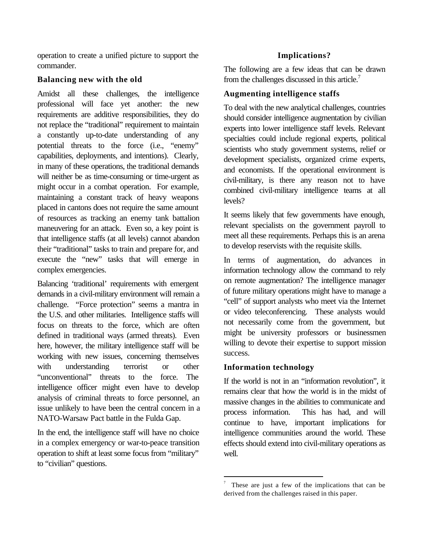operation to create a unified picture to support the commander.

### **Balancing new with the old**

Amidst all these challenges, the intelligence professional will face yet another: the new requirements are additive responsibilities, they do not replace the "traditional" requirement to maintain a constantly up-to-date understanding of any potential threats to the force (i.e., "enemy" capabilities, deployments, and intentions). Clearly, in many of these operations, the traditional demands will neither be as time-consuming or time-urgent as might occur in a combat operation. For example, maintaining a constant track of heavy weapons placed in cantons does not require the same amount of resources as tracking an enemy tank battalion maneuvering for an attack. Even so, a key point is that intelligence staffs (at all levels) cannot abandon their "traditional" tasks to train and prepare for, and execute the "new" tasks that will emerge in complex emergencies.

Balancing 'traditional' requirements with emergent demands in a civil-military environment will remain a challenge. "Force protection" seems a mantra in the U.S. and other militaries. Intelligence staffs will focus on threats to the force, which are often defined in traditional ways (armed threats). Even here, however, the military intelligence staff will be working with new issues, concerning themselves with understanding terrorist or other "unconventional" threats to the force. The intelligence officer might even have to develop analysis of criminal threats to force personnel, an issue unlikely to have been the central concern in a NATO-Warsaw Pact battle in the Fulda Gap.

In the end, the intelligence staff will have no choice in a complex emergency or war-to-peace transition operation to shift at least some focus from "military" to "civilian" questions.

# **Implications?**

The following are a few ideas that can be drawn from the challenges discussed in this article.<sup>7</sup>

# **Augmenting intelligence staffs**

To deal with the new analytical challenges, countries should consider intelligence augmentation by civilian experts into lower intelligence staff levels. Relevant specialties could include regional experts, political scientists who study government systems, relief or development specialists, organized crime experts, and economists. If the operational environment is civil-military, is there any reason not to have combined civil-military intelligence teams at all levels?

It seems likely that few governments have enough, relevant specialists on the government payroll to meet all these requirements. Perhaps this is an arena to develop reservists with the requisite skills.

In terms of augmentation, do advances in information technology allow the command to rely on remote augmentation? The intelligence manager of future military operations might have to manage a "cell" of support analysts who meet via the Internet or video teleconferencing. These analysts would not necessarily come from the government, but might be university professors or businessmen willing to devote their expertise to support mission success.

# **Information technology**

If the world is not in an "information revolution", it remains clear that how the world is in the midst of massive changes in the abilities to communicate and process information. This has had, and will continue to have, important implications for intelligence communities around the world. These effects should extend into civil-military operations as well.

 $\overline{a}$ 7 These are just a few of the implications that can be derived from the challenges raised in this paper.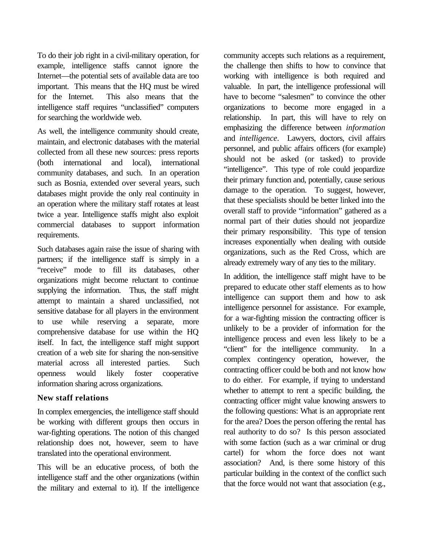To do their job right in a civil-military operation, for example, intelligence staffs cannot ignore the Internet—the potential sets of available data are too important. This means that the HQ must be wired for the Internet. This also means that the intelligence staff requires "unclassified" computers for searching the worldwide web.

As well, the intelligence community should create, maintain, and electronic databases with the material collected from all these new sources: press reports (both international and local), international community databases, and such. In an operation such as Bosnia, extended over several years, such databases might provide the only real continuity in an operation where the military staff rotates at least twice a year. Intelligence staffs might also exploit commercial databases to support information requirements.

Such databases again raise the issue of sharing with partners; if the intelligence staff is simply in a "receive" mode to fill its databases, other organizations might become reluctant to continue supplying the information. Thus, the staff might attempt to maintain a shared unclassified, not sensitive database for all players in the environment to use while reserving a separate, more comprehensive database for use within the HQ itself. In fact, the intelligence staff might support creation of a web site for sharing the non-sensitive material across all interested parties. Such openness would likely foster cooperative information sharing across organizations.

# **New staff relations**

In complex emergencies, the intelligence staff should be working with different groups then occurs in war-fighting operations. The notion of this changed relationship does not, however, seem to have translated into the operational environment.

This will be an educative process, of both the intelligence staff and the other organizations (within the military and external to it). If the intelligence community accepts such relations as a requirement, the challenge then shifts to how to convince that working with intelligence is both required and valuable. In part, the intelligence professional will have to become "salesmen" to convince the other organizations to become more engaged in a relationship. In part, this will have to rely on emphasizing the difference between *information* and *intelligence*. Lawyers, doctors, civil affairs personnel, and public affairs officers (for example) should not be asked (or tasked) to provide "intelligence". This type of role could jeopardize their primary function and, potentially, cause serious damage to the operation. To suggest, however, that these specialists should be better linked into the overall staff to provide "information" gathered as a normal part of their duties should not jeopardize their primary responsibility. This type of tension increases exponentially when dealing with outside organizations, such as the Red Cross, which are already extremely wary of any ties to the military.

In addition, the intelligence staff might have to be prepared to educate other staff elements as to how intelligence can support them and how to ask intelligence personnel for assistance. For example, for a war-fighting mission the contracting officer is unlikely to be a provider of information for the intelligence process and even less likely to be a "client" for the intelligence community. In a complex contingency operation, however, the contracting officer could be both and not know how to do either. For example, if trying to understand whether to attempt to rent a specific building, the contracting officer might value knowing answers to the following questions: What is an appropriate rent for the area? Does the person offering the rental has real authority to do so? Is this person associated with some faction (such as a war criminal or drug cartel) for whom the force does not want association? And, is there some history of this particular building in the context of the conflict such that the force would not want that association (e.g.,